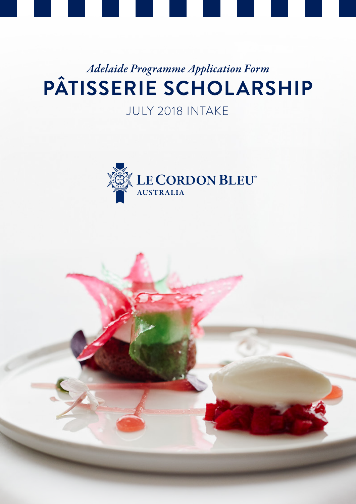

# *Adelaide Programme Application Form* **PÂTISSERIE SCHOLARSHIP**

# JULY 2018 INTAKE